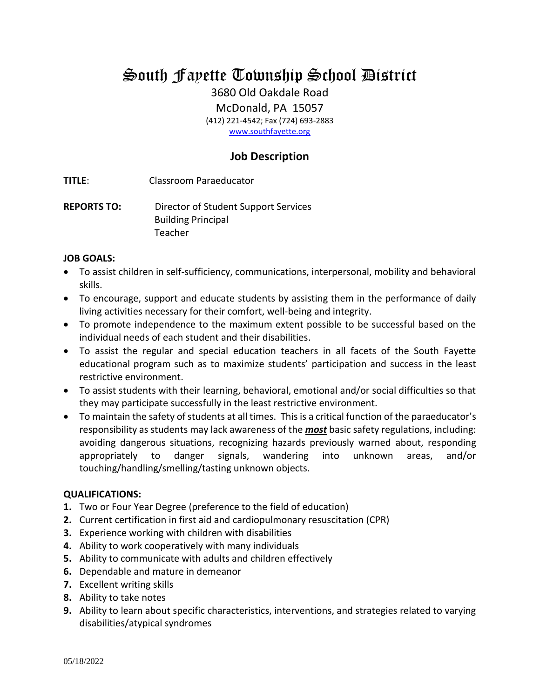South Fayette Township School District

3680 Old Oakdale Road

McDonald, PA 15057

(412) 221-4542; Fax (724) 693-2883

[www.southfayette.org](http://www.southfayette.org/)

# **Job Description**

**TITLE**: Classroom Paraeducator

**REPORTS TO:** Director of Student Support Services Building Principal Teacher

# **JOB GOALS:**

- To assist children in self-sufficiency, communications, interpersonal, mobility and behavioral skills.
- To encourage, support and educate students by assisting them in the performance of daily living activities necessary for their comfort, well-being and integrity.
- To promote independence to the maximum extent possible to be successful based on the individual needs of each student and their disabilities.
- To assist the regular and special education teachers in all facets of the South Fayette educational program such as to maximize students' participation and success in the least restrictive environment.
- To assist students with their learning, behavioral, emotional and/or social difficulties so that they may participate successfully in the least restrictive environment.
- To maintain the safety of students at all times. This is a critical function of the paraeducator's responsibility as students may lack awareness of the *most* basic safety regulations, including: avoiding dangerous situations, recognizing hazards previously warned about, responding appropriately to danger signals, wandering into unknown areas, and/or touching/handling/smelling/tasting unknown objects.

### **QUALIFICATIONS:**

- **1.** Two or Four Year Degree (preference to the field of education)
- **2.** Current certification in first aid and cardiopulmonary resuscitation (CPR)
- **3.** Experience working with children with disabilities
- **4.** Ability to work cooperatively with many individuals
- **5.** Ability to communicate with adults and children effectively
- **6.** Dependable and mature in demeanor
- **7.** Excellent writing skills
- **8.** Ability to take notes
- **9.** Ability to learn about specific characteristics, interventions, and strategies related to varying disabilities/atypical syndromes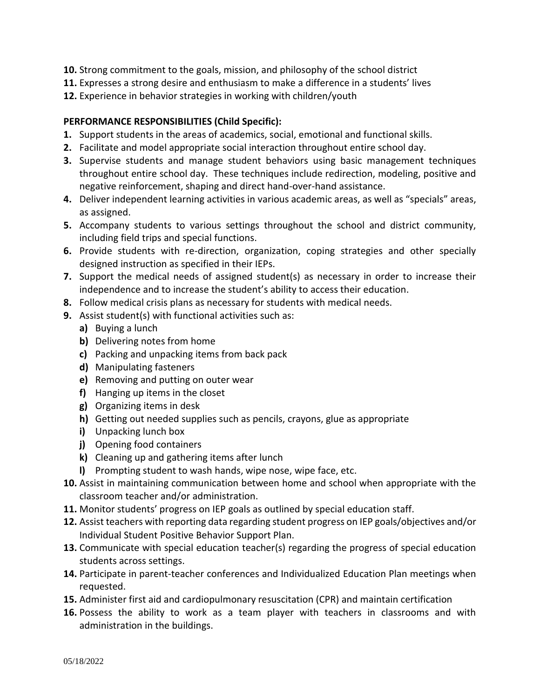- **10.** Strong commitment to the goals, mission, and philosophy of the school district
- **11.** Expresses a strong desire and enthusiasm to make a difference in a students' lives
- **12.** Experience in behavior strategies in working with children/youth

# **PERFORMANCE RESPONSIBILITIES (Child Specific):**

- **1.** Support students in the areas of academics, social, emotional and functional skills.
- **2.** Facilitate and model appropriate social interaction throughout entire school day.
- **3.** Supervise students and manage student behaviors using basic management techniques throughout entire school day. These techniques include redirection, modeling, positive and negative reinforcement, shaping and direct hand-over-hand assistance.
- **4.** Deliver independent learning activities in various academic areas, as well as "specials" areas, as assigned.
- **5.** Accompany students to various settings throughout the school and district community, including field trips and special functions.
- **6.** Provide students with re-direction, organization, coping strategies and other specially designed instruction as specified in their IEPs.
- **7.** Support the medical needs of assigned student(s) as necessary in order to increase their independence and to increase the student's ability to access their education.
- **8.** Follow medical crisis plans as necessary for students with medical needs.
- **9.** Assist student(s) with functional activities such as:
	- **a)** Buying a lunch
	- **b)** Delivering notes from home
	- **c)** Packing and unpacking items from back pack
	- **d)** Manipulating fasteners
	- **e)** Removing and putting on outer wear
	- **f)** Hanging up items in the closet
	- **g)** Organizing items in desk
	- **h)** Getting out needed supplies such as pencils, crayons, glue as appropriate
	- **i)** Unpacking lunch box
	- **j)** Opening food containers
	- **k)** Cleaning up and gathering items after lunch
	- **l)** Prompting student to wash hands, wipe nose, wipe face, etc.
- **10.** Assist in maintaining communication between home and school when appropriate with the classroom teacher and/or administration.
- **11.** Monitor students' progress on IEP goals as outlined by special education staff.
- **12.** Assist teachers with reporting data regarding student progress on IEP goals/objectives and/or Individual Student Positive Behavior Support Plan.
- **13.** Communicate with special education teacher(s) regarding the progress of special education students across settings.
- **14.** Participate in parent-teacher conferences and Individualized Education Plan meetings when requested.
- **15.** Administer first aid and cardiopulmonary resuscitation (CPR) and maintain certification
- **16.** Possess the ability to work as a team player with teachers in classrooms and with administration in the buildings.